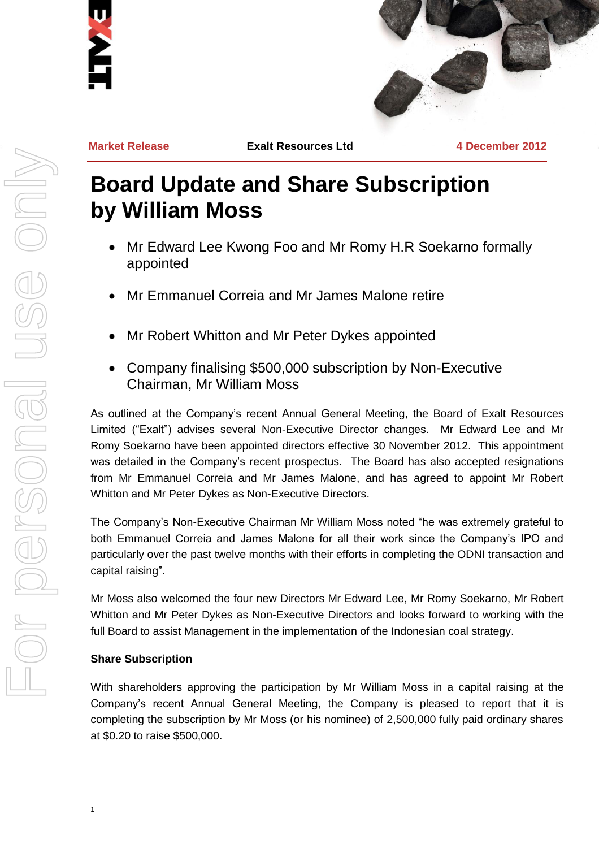



**Market Release Exalt Resources Ltd 4 December 2012**

# **Board Update and Share Subscription by William Moss**

- Mr Edward Lee Kwong Foo and Mr Romy H.R Soekarno formally appointed
- Mr Emmanuel Correia and Mr James Malone retire
- Mr Robert Whitton and Mr Peter Dykes appointed
- Company finalising \$500,000 subscription by Non-Executive Chairman, Mr William Moss

As outlined at the Company's recent Annual General Meeting, the Board of Exalt Resources Limited ("Exalt") advises several Non-Executive Director changes. Mr Edward Lee and Mr Romy Soekarno have been appointed directors effective 30 November 2012. This appointment was detailed in the Company's recent prospectus. The Board has also accepted resignations from Mr Emmanuel Correia and Mr James Malone, and has agreed to appoint Mr Robert Whitton and Mr Peter Dykes as Non-Executive Directors.

The Company's Non-Executive Chairman Mr William Moss noted "he was extremely grateful to both Emmanuel Correia and James Malone for all their work since the Company's IPO and particularly over the past twelve months with their efforts in completing the ODNI transaction and capital raising".

Mr Moss also welcomed the four new Directors Mr Edward Lee, Mr Romy Soekarno, Mr Robert Whitton and Mr Peter Dykes as Non-Executive Directors and looks forward to working with the full Board to assist Management in the implementation of the Indonesian coal strategy.

## **Share Subscription**

1

With shareholders approving the participation by Mr William Moss in a capital raising at the Company's recent Annual General Meeting, the Company is pleased to report that it is completing the subscription by Mr Moss (or his nominee) of 2,500,000 fully paid ordinary shares at \$0.20 to raise \$500,000.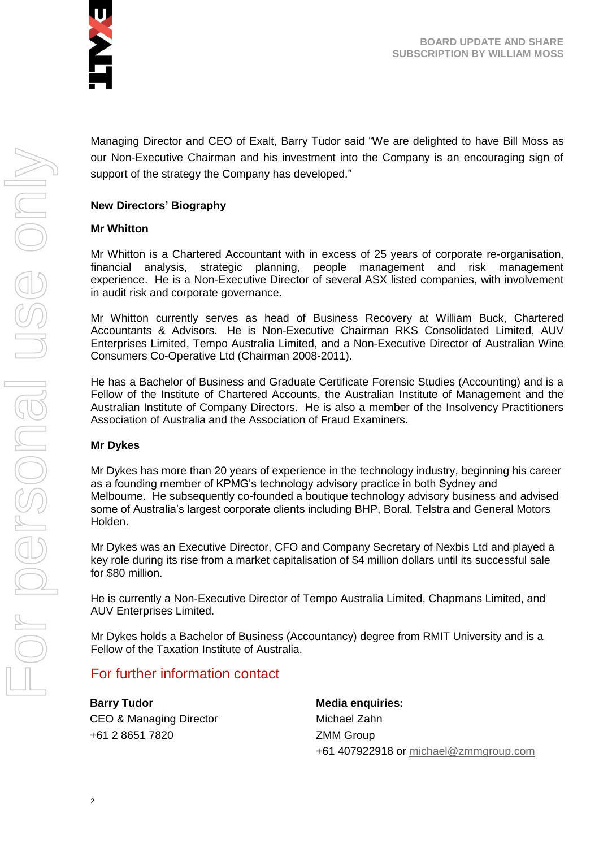

Managing Director and CEO of Exalt, Barry Tudor said "We are delighted to have Bill Moss as our Non-Executive Chairman and his investment into the Company is an encouraging sign of support of the strategy the Company has developed."

## **New Directors' Biography**

#### **Mr Whitton**

Mr Whitton is a Chartered Accountant with in excess of 25 years of corporate re-organisation, financial analysis, strategic planning, people management and risk management experience. He is a Non-Executive Director of several ASX listed companies, with involvement in audit risk and corporate governance.

Mr Whitton currently serves as head of Business Recovery at William Buck, Chartered Accountants & Advisors. He is Non-Executive Chairman RKS Consolidated Limited, AUV Enterprises Limited, Tempo Australia Limited, and a Non-Executive Director of Australian Wine Consumers Co-Operative Ltd (Chairman 2008-2011).

He has a Bachelor of Business and Graduate Certificate Forensic Studies (Accounting) and is a Fellow of the Institute of Chartered Accounts, the Australian Institute of Management and the Australian Institute of Company Directors. He is also a member of the Insolvency Practitioners Association of Australia and the Association of Fraud Examiners.

#### **Mr Dykes**

Mr Dykes has more than 20 years of experience in the technology industry, beginning his career as a founding member of KPMG's technology advisory practice in both Sydney and Melbourne. He subsequently co-founded a boutique technology advisory business and advised some of Australia's largest corporate clients including BHP, Boral, Telstra and General Motors Holden.

Mr Dykes was an Executive Director, CFO and Company Secretary of Nexbis Ltd and played a key role during its rise from a market capitalisation of \$4 million dollars until its successful sale for \$80 million.

He is currently a Non-Executive Director of Tempo Australia Limited, Chapmans Limited, and AUV Enterprises Limited.

Mr Dykes holds a Bachelor of Business (Accountancy) degree from RMIT University and is a Fellow of the Taxation Institute of Australia.

## For further information contact

**Barry Tudor** CEO & Managing Director +61 2 8651 7820

**Media enquiries:** Michael Zahn ZMM Group +61 407922918 or [michael@zmmgroup.com](mailto:michael@zmmgroup.com)